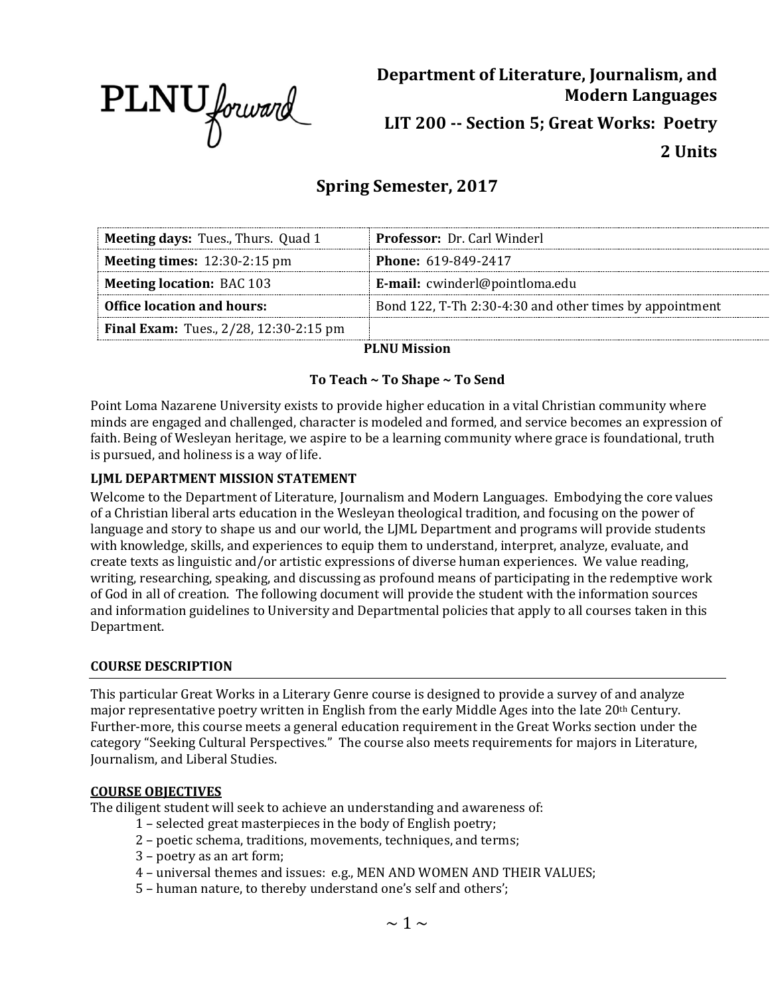

**Department of Literature, Journalism, and Modern Languages LIT 200 -- Section 5; Great Works: Poetry 2 Units**

# **Spring Semester, 2017**

| <b>Meeting days: Tues., Thurs. Quad 1</b>     | <b>Professor: Dr. Carl Winderl</b>                      |
|-----------------------------------------------|---------------------------------------------------------|
| <b>Meeting times:</b> $12:30-2:15$ pm         | <b>Phone: 619-849-2417</b>                              |
| <b>Meeting location: BAC 103</b>              | <b>E-mail:</b> cwinderl@pointloma.edu                   |
| <b>Office location and hours:</b>             | Bond 122, T-Th 2:30-4:30 and other times by appointment |
| <b>Final Exam:</b> Tues., 2/28, 12:30-2:15 pm |                                                         |

# **PLNU Mission**

# **To Teach ~ To Shape ~ To Send**

Point Loma Nazarene University exists to provide higher education in a vital Christian community where minds are engaged and challenged, character is modeled and formed, and service becomes an expression of faith. Being of Wesleyan heritage, we aspire to be a learning community where grace is foundational, truth is pursued, and holiness is a way of life.

### **LJML DEPARTMENT MISSION STATEMENT**

Welcome to the Department of Literature, Journalism and Modern Languages. Embodying the core values of a Christian liberal arts education in the Wesleyan theological tradition, and focusing on the power of language and story to shape us and our world, the LJML Department and programs will provide students with knowledge, skills, and experiences to equip them to understand, interpret, analyze, evaluate, and create texts as linguistic and/or artistic expressions of diverse human experiences. We value reading, writing, researching, speaking, and discussing as profound means of participating in the redemptive work of God in all of creation. The following document will provide the student with the information sources and information guidelines to University and Departmental policies that apply to all courses taken in this Department.

### **COURSE DESCRIPTION**

This particular Great Works in a Literary Genre course is designed to provide a survey of and analyze major representative poetry written in English from the early Middle Ages into the late 20th Century. Further-more, this course meets a general education requirement in the Great Works section under the category "Seeking Cultural Perspectives." The course also meets requirements for majors in Literature, Journalism, and Liberal Studies.

### **COURSE OBJECTIVES**

The diligent student will seek to achieve an understanding and awareness of:

- 1 selected great masterpieces in the body of English poetry;
- 2 poetic schema, traditions, movements, techniques, and terms;
- 3 poetry as an art form;
- 4 universal themes and issues: e.g., MEN AND WOMEN AND THEIR VALUES;
- 5 human nature, to thereby understand one's self and others';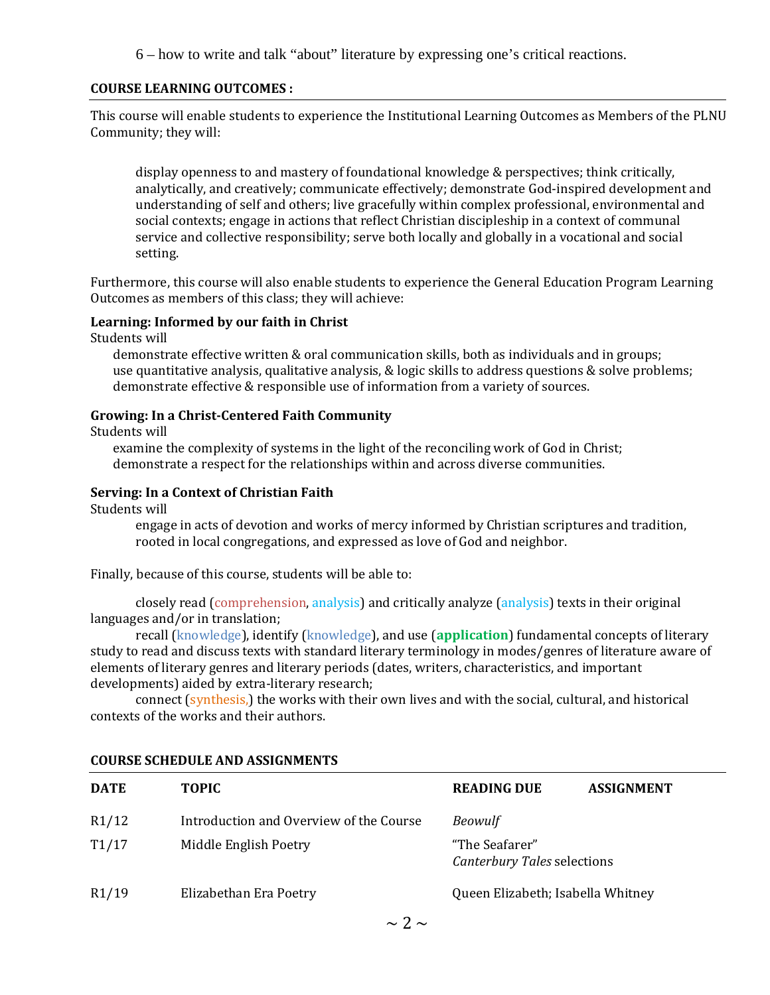6 – how to write and talk "about" literature by expressing one's critical reactions.

### **COURSE LEARNING OUTCOMES :**

This course will enable students to experience the Institutional Learning Outcomes as Members of the PLNU Community; they will:

display openness to and mastery of foundational knowledge & perspectives; think critically, analytically, and creatively; communicate effectively; demonstrate God-inspired development and understanding of self and others; live gracefully within complex professional, environmental and social contexts; engage in actions that reflect Christian discipleship in a context of communal service and collective responsibility; serve both locally and globally in a vocational and social setting.

Furthermore, this course will also enable students to experience the General Education Program Learning Outcomes as members of this class; they will achieve:

### **Learning: Informed by our faith in Christ**

Students will

demonstrate effective written & oral communication skills, both as individuals and in groups; use quantitative analysis, qualitative analysis, & logic skills to address questions & solve problems; demonstrate effective & responsible use of information from a variety of sources.

### **Growing: In a Christ-Centered Faith Community**

Students will

examine the complexity of systems in the light of the reconciling work of God in Christ; demonstrate a respect for the relationships within and across diverse communities.

### **Serving: In a Context of Christian Faith**

Students will

engage in acts of devotion and works of mercy informed by Christian scriptures and tradition, rooted in local congregations, and expressed as love of God and neighbor.

Finally, because of this course, students will be able to:

closely read (comprehension, analysis) and critically analyze (analysis) texts in their original languages and/or in translation;

recall (knowledge), identify (knowledge), and use (**application**) fundamental concepts of literary study to read and discuss texts with standard literary terminology in modes/genres of literature aware of elements of literary genres and literary periods (dates, writers, characteristics, and important developments) aided by extra-literary research;

connect (synthesis,) the works with their own lives and with the social, cultural, and historical contexts of the works and their authors.

| <b>DATE</b> | <b>TOPIC</b>                            | <b>READING DUE</b>                            | <b>ASSIGNMENT</b> |
|-------------|-----------------------------------------|-----------------------------------------------|-------------------|
| R1/12       | Introduction and Overview of the Course | <b>Beowulf</b>                                |                   |
| T1/17       | Middle English Poetry                   | "The Seafarer"<br>Canterbury Tales selections |                   |
| R1/19       | Elizabethan Era Poetry                  | Queen Elizabeth; Isabella Whitney             |                   |
|             | C.                                      |                                               |                   |

# **COURSE SCHEDULE AND ASSIGNMENTS**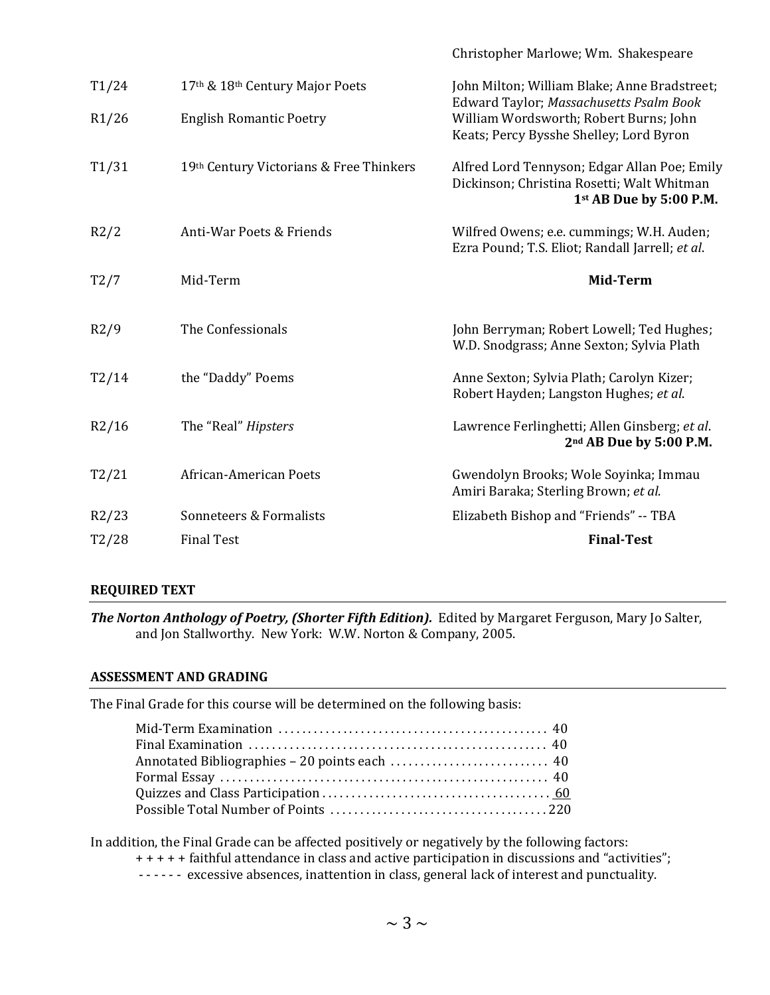|       |                                         | Christopher Marlowe; Wm. Shakespeare                                                                                         |
|-------|-----------------------------------------|------------------------------------------------------------------------------------------------------------------------------|
| T1/24 | 17th & 18th Century Major Poets         | John Milton; William Blake; Anne Bradstreet;                                                                                 |
| R1/26 | <b>English Romantic Poetry</b>          | Edward Taylor; Massachusetts Psalm Book<br>William Wordsworth; Robert Burns; John<br>Keats; Percy Bysshe Shelley; Lord Byron |
| T1/31 | 19th Century Victorians & Free Thinkers | Alfred Lord Tennyson; Edgar Allan Poe; Emily<br>Dickinson; Christina Rosetti; Walt Whitman<br>1st AB Due by 5:00 P.M.        |
| R2/2  | Anti-War Poets & Friends                | Wilfred Owens; e.e. cummings; W.H. Auden;<br>Ezra Pound; T.S. Eliot; Randall Jarrell; et al.                                 |
| T2/7  | Mid-Term                                | Mid-Term                                                                                                                     |
| R2/9  | The Confessionals                       | John Berryman; Robert Lowell; Ted Hughes;<br>W.D. Snodgrass; Anne Sexton; Sylvia Plath                                       |
| T2/14 | the "Daddy" Poems                       | Anne Sexton; Sylvia Plath; Carolyn Kizer;<br>Robert Hayden; Langston Hughes; et al.                                          |
| R2/16 | The "Real" <i>Hipsters</i>              | Lawrence Ferlinghetti; Allen Ginsberg; et al.<br>2nd AB Due by 5:00 P.M.                                                     |
| T2/21 | African-American Poets                  | Gwendolyn Brooks; Wole Soyinka; Immau<br>Amiri Baraka; Sterling Brown; et al.                                                |
| R2/23 | Sonneteers & Formalists                 | Elizabeth Bishop and "Friends" -- TBA                                                                                        |
| T2/28 | <b>Final Test</b>                       | <b>Final-Test</b>                                                                                                            |
|       |                                         |                                                                                                                              |

### **REQUIRED TEXT**

*The Norton Anthology of Poetry, (Shorter Fifth Edition).* Edited by Margaret Ferguson, Mary Jo Salter, and Jon Stallworthy. New York: W.W. Norton & Company, 2005.

### **ASSESSMENT AND GRADING**

The Final Grade for this course will be determined on the following basis:

In addition, the Final Grade can be affected positively or negatively by the following factors:

- + + + + + faithful attendance in class and active participation in discussions and "activities";
- - - - excessive absences, inattention in class, general lack of interest and punctuality.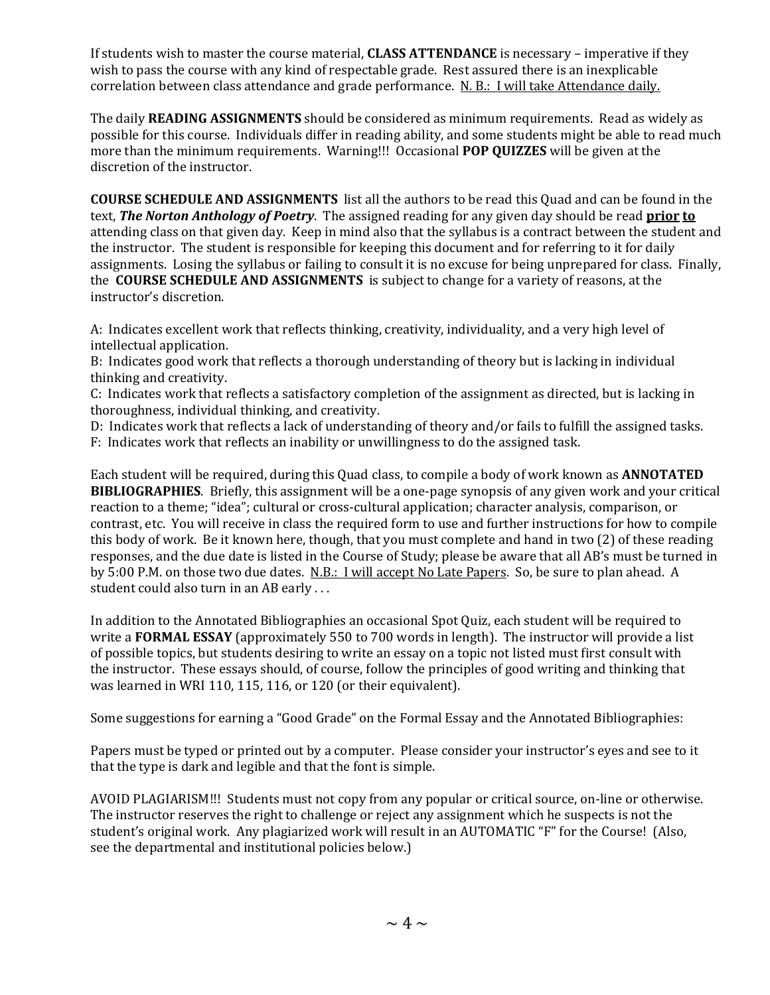If students wish to master the course material, **CLASS ATTENDANCE** is necessary – imperative if they wish to pass the course with any kind of respectable grade. Rest assured there is an inexplicable correlation between class attendance and grade performance. N. B.: I will take Attendance daily.

The daily **READING ASSIGNMENTS** should be considered as minimum requirements. Read as widely as possible for this course. Individuals differ in reading ability, and some students might be able to read much more than the minimum requirements. Warning!!! Occasional **POP QUIZZES** will be given at the discretion of the instructor.

**COURSE SCHEDULE AND ASSIGNMENTS** list all the authors to be read this Quad and can be found in the text, *The Norton Anthology of Poetry*. The assigned reading for any given day should be read **prior to** attending class on that given day. Keep in mind also that the syllabus is a contract between the student and the instructor. The student is responsible for keeping this document and for referring to it for daily assignments. Losing the syllabus or failing to consult it is no excuse for being unprepared for class. Finally, the **COURSE SCHEDULE AND ASSIGNMENTS** is subject to change for a variety of reasons, at the instructor's discretion.

A: Indicates excellent work that reflects thinking, creativity, individuality, and a very high level of intellectual application.

B: Indicates good work that reflects a thorough understanding of theory but is lacking in individual thinking and creativity.

C: Indicates work that reflects a satisfactory completion of the assignment as directed, but is lacking in thoroughness, individual thinking, and creativity.

D: Indicates work that reflects a lack of understanding of theory and/or fails to fulfill the assigned tasks.

F: Indicates work that reflects an inability or unwillingness to do the assigned task.

Each student will be required, during this Quad class, to compile a body of work known as **ANNOTATED BIBLIOGRAPHIES**. Briefly, this assignment will be a one-page synopsis of any given work and your critical reaction to a theme; "idea"; cultural or cross-cultural application; character analysis, comparison, or contrast, etc. You will receive in class the required form to use and further instructions for how to compile this body of work. Be it known here, though, that you must complete and hand in two (2) of these reading responses, and the due date is listed in the Course of Study; please be aware that all AB's must be turned in by 5:00 P.M. on those two due dates. N.B.: I will accept No Late Papers. So, be sure to plan ahead. A student could also turn in an AB early . . .

In addition to the Annotated Bibliographies an occasional Spot Quiz, each student will be required to write a **FORMAL ESSAY** (approximately 550 to 700 words in length). The instructor will provide a list of possible topics, but students desiring to write an essay on a topic not listed must first consult with the instructor. These essays should, of course, follow the principles of good writing and thinking that was learned in WRI 110, 115, 116, or 120 (or their equivalent).

Some suggestions for earning a "Good Grade" on the Formal Essay and the Annotated Bibliographies:

Papers must be typed or printed out by a computer. Please consider your instructor's eyes and see to it that the type is dark and legible and that the font is simple.

AVOID PLAGIARISM!!! Students must not copy from any popular or critical source, on-line or otherwise. The instructor reserves the right to challenge or reject any assignment which he suspects is not the student's original work. Any plagiarized work will result in an AUTOMATIC "F" for the Course! (Also, see the departmental and institutional policies below.)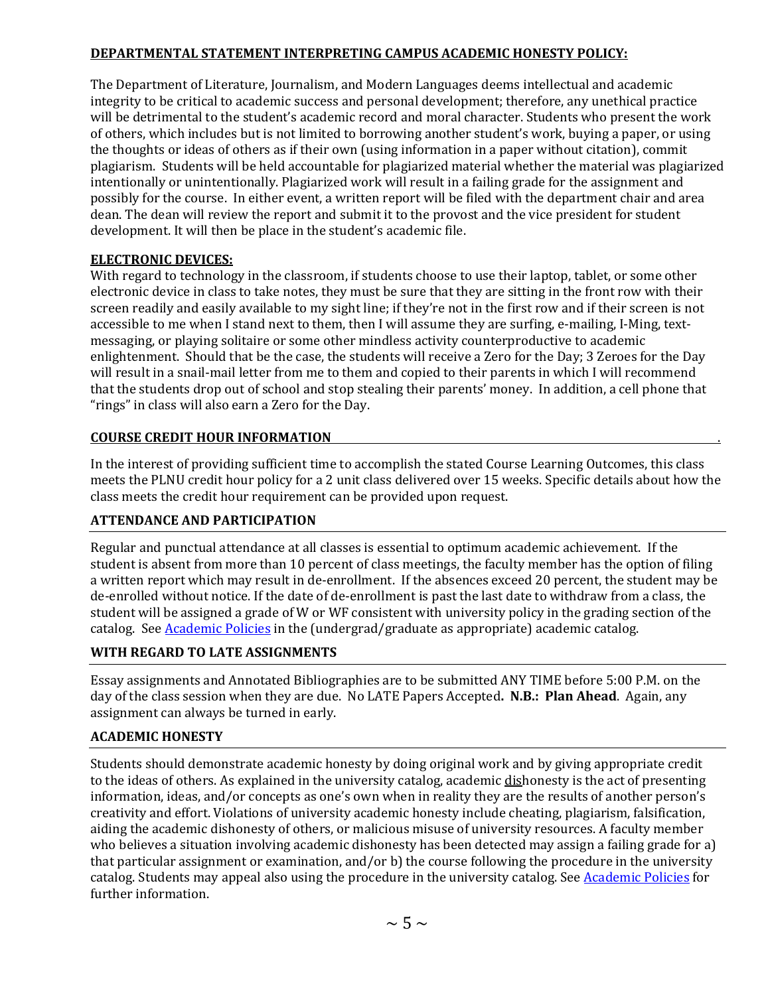# **DEPARTMENTAL STATEMENT INTERPRETING CAMPUS ACADEMIC HONESTY POLICY:**

The Department of Literature, Journalism, and Modern Languages deems intellectual and academic integrity to be critical to academic success and personal development; therefore, any unethical practice will be detrimental to the student's academic record and moral character. Students who present the work of others, which includes but is not limited to borrowing another student's work, buying a paper, or using the thoughts or ideas of others as if their own (using information in a paper without citation), commit plagiarism. Students will be held accountable for plagiarized material whether the material was plagiarized intentionally or unintentionally. Plagiarized work will result in a failing grade for the assignment and possibly for the course. In either event, a written report will be filed with the department chair and area dean. The dean will review the report and submit it to the provost and the vice president for student development. It will then be place in the student's academic file.

# **ELECTRONIC DEVICES:**

With regard to technology in the classroom, if students choose to use their laptop, tablet, or some other electronic device in class to take notes, they must be sure that they are sitting in the front row with their screen readily and easily available to my sight line; if they're not in the first row and if their screen is not accessible to me when I stand next to them, then I will assume they are surfing, e-mailing, I-Ming, textmessaging, or playing solitaire or some other mindless activity counterproductive to academic enlightenment. Should that be the case, the students will receive a Zero for the Day; 3 Zeroes for the Day will result in a snail-mail letter from me to them and copied to their parents in which I will recommend that the students drop out of school and stop stealing their parents' money. In addition, a cell phone that "rings" in class will also earn a Zero for the Day.

# **COURSE CREDIT HOUR INFORMATION** .

In the interest of providing sufficient time to accomplish the stated Course Learning Outcomes, this class meets the PLNU credit hour policy for a 2 unit class delivered over 15 weeks. Specific details about how the class meets the credit hour requirement can be provided upon request.

# **ATTENDANCE AND PARTICIPATION**

Regular and punctual attendance at all classes is essential to optimum academic achievement. If the student is absent from more than 10 percent of class meetings, the faculty member has the option of filing a written report which may result in de-enrollment. If the absences exceed 20 percent, the student may be de-enrolled without notice. If the date of de-enrollment is past the last date to withdraw from a class, the student will be assigned a grade of W or WF consistent with university policy in the grading section of the catalog. See **Academic Policies** in the (undergrad/graduate as appropriate) academic catalog.

# **WITH REGARD TO LATE ASSIGNMENTS**

Essay assignments and Annotated Bibliographies are to be submitted ANY TIME before 5:00 P.M. on the day of the class session when they are due. No LATE Papers Accepted**. N.B.: Plan Ahead**. Again, any assignment can always be turned in early.

# **ACADEMIC HONESTY**

Students should demonstrate academic honesty by doing original work and by giving appropriate credit to the ideas of others. As explained in the university catalog, academic dishonesty is the act of presenting information, ideas, and/or concepts as one's own when in reality they are the results of another person's creativity and effort. Violations of university academic honesty include cheating, plagiarism, falsification, aiding the academic dishonesty of others, or malicious misuse of university resources. A faculty member who believes a situation involving academic dishonesty has been detected may assign a failing grade for a) that particular assignment or examination, and/or b) the course following the procedure in the university catalog. Students may appeal also using the procedure in the university catalog. See **Academic Policies** for further information.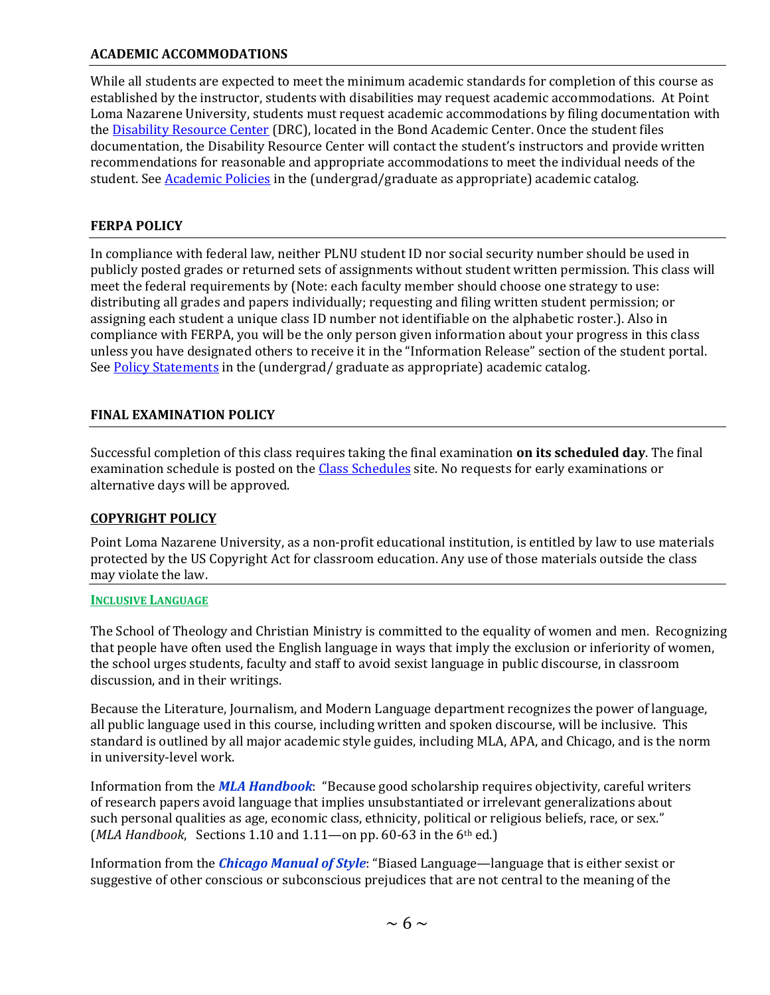### **ACADEMIC ACCOMMODATIONS**

While all students are expected to meet the minimum academic standards for completion of this course as established by the instructor, students with disabilities may request academic accommodations. At Point Loma Nazarene University, students must request academic accommodations by filing documentation with the **Disability Resource Center** (DRC), located in the Bond Academic Center. Once the student files documentation, the Disability Resource Center will contact the student's instructors and provide written recommendations for reasonable and appropriate accommodations to meet the individual needs of the student. See [Academic Policies](http://www.pointloma.edu/experience/academics/catalogs/undergraduate-catalog/point-loma-education/academic-policies) in the (undergrad/graduate as appropriate) academic catalog.

### **FERPA POLICY**

In compliance with federal law, neither PLNU student ID nor social security number should be used in publicly posted grades or returned sets of assignments without student written permission. This class will meet the federal requirements by (Note: each faculty member should choose one strategy to use: distributing all grades and papers individually; requesting and filing written student permission; or assigning each student a unique class ID number not identifiable on the alphabetic roster.). Also in compliance with FERPA, you will be the only person given information about your progress in this class unless you have designated others to receive it in the "Information Release" section of the student portal. Se[e Policy Statements](http://www.pointloma.edu/experience/academics/catalogs/undergraduate-catalog/policy-statements) in the (undergrad/ graduate as appropriate) academic catalog.

# **FINAL EXAMINATION POLICY**

Successful completion of this class requires taking the final examination **on its scheduled day**. The final examination schedule is posted on the [Class Schedules](http://www.pointloma.edu/experience/academics/class-schedules) site. No requests for early examinations or alternative days will be approved.

# **COPYRIGHT POLICY**

Point Loma Nazarene University, as a non-profit educational institution, is entitled by law to use materials protected by the US Copyright Act for classroom education. Any use of those materials outside the class may violate the law.

### **INCLUSIVE LANGUAGE**

The School of Theology and Christian Ministry is committed to the equality of women and men. Recognizing that people have often used the English language in ways that imply the exclusion or inferiority of women, the school urges students, faculty and staff to avoid sexist language in public discourse, in classroom discussion, and in their writings.

Because the Literature, Journalism, and Modern Language department recognizes the power of language, all public language used in this course, including written and spoken discourse, will be inclusive. This standard is outlined by all major academic style guides, including MLA, APA, and Chicago, and is the norm in university-level work.

Information from the *MLA Handbook*: "Because good scholarship requires objectivity, careful writers of research papers avoid language that implies unsubstantiated or irrelevant generalizations about such personal qualities as age, economic class, ethnicity, political or religious beliefs, race, or sex." (*MLA Handbook*, Sections 1.10 and 1.11—on pp. 60-63 in the 6th ed.)

Information from the *Chicago Manual of Style*: "Biased Language—language that is either sexist or suggestive of other conscious or subconscious prejudices that are not central to the meaning of the